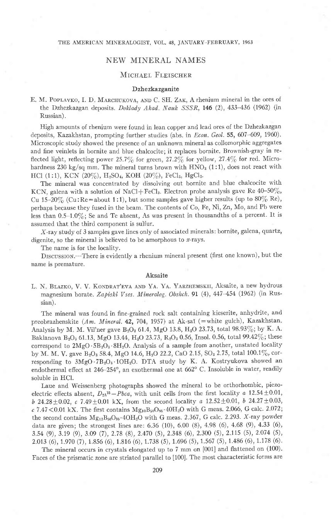## THE AMERICAN MINERALOGIST, VOL. 48, JANUARY-FEBRUARY, 1963

# NEW MINERAL NAMES

# MICHAEL FLEISCHER

# Dzhezkazganite

E. M. POPLAVKO, I. D. MARCHUKOVA, AND C. SH. ZAK, A rhenium mineral in the ores of the Dzhezkazgan deposits. Doklady Akad. Nauk SSSR, 146 (2), 433-436 (1962) (in Russian).

High amounts of rhenium were found in lean copper and lead ores of the Dzhezkazgan deposits, Kazakhstan, prompting further studies (abs. in *Econ. Geol.* 55, 607-609, 1960). Microscopic study showed the presence of an unknown mineral as collomorphic aggregates and fine veinlets in bornite and blue chalcocite; it replaces bornite. Brownish-gray in reflected light, reflecting power 25.7% for green, 27.2% for yellow, 27.4% for red. Microhardness 230 kg/sq mm. The mineral turns brown with  $HNO<sub>3</sub> (1:1)$ , does not react with HCl (1:1), KCN (20%), H<sub>2</sub>SO<sub>4</sub>, KOH (20%), FeCl<sub>3</sub>, HgCl<sub>2</sub>.

The minerai was concentrated by dissolving out bornite and blue chalcocite with KCN, galena with a solution of NaCl+FeCl<sub>3</sub>. Electron probe analysis gave Re  $40-50\%$ , Cu 15-20% (Cu: Re=about 1:1), but some samples gave higher results (up to  $80\%$  Re), perhaps because they fused in the beam. The contents of Co, Fe, Ni, Zn, Mo, and Pb were less than  $0.5-1.0\%$ ; Se and Te absent, As was present in thousandths of a percent. It is assumed that the third component is sulfur.

X-ray study of 3 samples gave lines only of associated minerals: bornite, galena, quartz, digenite, so the mineral is believed to be amorphous to  $x$ -rays.

The name is for the locality.

DISCUSSION.—There is evidently a rhenium mineral present (first one known), but the name is premature.

#### Aksaite

L. N. BLAZKO, V. V. KONDRAT'EVA AND YA. YA. YARZHEMSKII, Aksaite, a new hydrous magnesium borate. Zapiski Vses. Mineralog. Obshch. 91 (4),  $447-454$  (1962) (in Russian).

The minerai was found in fine-grained rock salt containing kieserite, anhydrite, and preobrazhenskite (Am. Mineral. 42, 704, 1957) at Ak-saï (=white gulch), Kazakhstan. Analysis by M. M. Vil'ner gave  $B_2O_3$  61.4, MgO 13.8, H<sub>2</sub>O 23.73, total 98.93%; by K. A. Baklanova B<sub>2</sub>O<sub>3</sub> 61.13, MgO 13.44, H<sub>2</sub>O 23.73, R<sub>2</sub>O<sub>3</sub> 0.56, Insol. 0.56, total 99.42%; these correspond to  $2MgO \cdot 5B_2O_3 \cdot 8H_2O$ . Analysis of a sample from another, unstated locality by M. M. V. gave  $B_2O_3$  58.4, MgO 14.6, H<sub>2</sub>O 22.2, CaO 2.15, SO<sub>3</sub> 2.75, total 100.1%, corresponding to  $3MgO.7B_2O_3.1OH_2O$ . DTA study by K. A. Kostryukova showed an endothermal effect at  $246-254^{\circ}$ , an exothermal one at  $662^{\circ}$  C. Insoluble in water, readily soluble in HCl.

Laue and Weissenberg photographs showed the mineral to be orthorhombic, piezoelectric effects absent,  $D_{2h}^{15} - Pbca$ , with unit cells from the first locality a 12.54  $\pm$ 0.01, b 24.28  $\pm$  0.02, c 7.49  $\pm$  0.01 kX, from the second locality a 12.52  $\pm$  0.01, b 24.27  $\pm$  0.03,  $c$  7.47 < 0.01 kX. The first contains  $Mg_{10}B_{50}O_{85} \cdot 40H_2O$  with G meas. 2.066, G calc. 2.072; the second contains  $Mg_{12}B_{56}O_{96}\cdot 4OH_2O$  with G meas. 2.367, G calc. 2.293. X-ray powder data are given; the strongest lines are:  $6.36$  (10),  $6.00$  (8),  $4.98$  (6),  $4.68$  (9),  $4.33$  (6), 3.s4 (9),3.19 (9),3.09 (7), 2.78 (8),2.470 (s),2.348 (6),2.300 (5),2.115 (s), 2.074 (s), 2.013 (6), r.970 (7),1 8s6 (6), 1 816 (6), 1.738 (5), 1.6e6 (s), 1.567 (s), 1.486 (6), 1.178 (6).

The mineral occurs in crystals elongated up to 7 mm on [001] and flattened on (100). Faces of the prismatic zone are striated parallel to [100]. The most characteristic forms are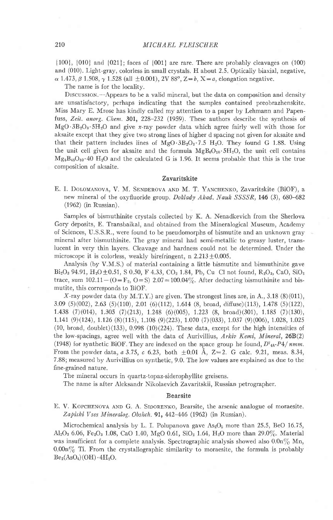{100}, [010] and {021}; faces of {001} are rare. There are probably cleavages on (100) and (010). Light-gray, colorless in small crystals. H about 2.5. Optically biaxial, negative,  $\alpha$  1.473,  $\beta$  1.508,  $\gamma$  1.528 (all  $\pm$ 0.001), 2V 88°, Z=b, X=a, elongation negative.

The name is for the locality.

DISCUSSION.--Appears to be a valid mineral, but the data on composition and density are unsatisfactory, perhaps indicating that the samples contained preobrazhenskite. Miss Mary E. Mrose has kindly called my attention to a paper by Lehmann and Papenfuss, Zeit. anorg. Chem. 301, 228-232 (1959). These authors describe the synthesis of  $MgO \cdot 3B_2O_3 \cdot 5H_2O$  and give x-ray powder data which agree fairly well with those for aksaite except that they give two strong lines of higher d spacing not given for aksaite and that their pattern includes lines of  $MgO·3B<sub>2</sub>O<sub>3</sub>·7.5 H<sub>2</sub>O$ . They found G 1.88. Using the unit cell given for aksaite and the formula  $MgB_6O_{10} \cdot 5H_2O$ , the unit cell contains  $Mg_8B_{48}O_{80}$  40 H<sub>2</sub>O and the calculated G is 1.96. It seems probable that this is the true composition of aksaite.

### Zavaritskite

E. I. DOLOMANOVA, V. M. SENDEROVA AND M. T. YANCHENKO, Zavaritskite (BiOF), a new mineral of the oxyfluoride group. *Doklady Akad. Nauk SSSSR*, 146 (3), 680-682 (1962) (in Russian).

Samples of bismuthinite crystals collected by K. A. Nenadkevich from the Sherlova Gory deposits, E. Transbaikal, and obtained from the Mineralogical Museum, Academy of Sciences, U.S.S.R., were found to be pseudomorphs of bismutite and an unknown gray mineral after bismuthinite. The gray mineral had semi-metallic to greasy luster, translucent in very thin layers. Cleavage and hardness could not be determined. Under the microscope it is colorless, weakly birefringent, n  $2.213 \pm 0.005$ .

Analysis (by V.M.S.) of material containing a little bismutite and bismuthinite gave  $Bi_2O_3$  94.91,  $H_2O \pm 0.51$ , S 0.50, F 4.33, CO<sub>2</sub> 1.84, Pb, Cu Cl not found, R<sub>2</sub>O<sub>3</sub>, CaO, SiO<sub>2</sub> trace, sum  $102.11-(O-F_2, O=S)$   $2.07=100.04\%$ . After deducting bismuthinite and bismutite, this corresponds to BiOF.

X-ray powder data (by M.T.Y.) are given. The strongest lines are, in A., 3.18 (8)(011), 3.09 (5)(002), 2.63 (5)(110), 2.0r (6)(112),1.614 (8, broad, diffuse)(113),1.478 (5)(122), 1.438 (7)(014), 1.305 (7)(213), 1.248 (6)(00s), r.223 (8, broad)(301), 1.185 (7)(130), 1.141 (9)(124), 1.126 (8)(115), 1.108 (9)(223), 1.070 (7)(033), 1.037 (9)(006), 1.028, 1.025  $(10, \text{ broad}, \text{doublet})$  $(133), 0.998$  $(10)(224)$ . These data, except for the high intensities of the low-spacings, agree well with the data of Aurivillius,  $Arkiv$  Kemi, Mineral, 26B(2) (1948) for synthetic BiOF. They are indexed on the space group he found,  $D^7_{4h}P_4/mm$ . From the powder data, a 3.75, c 6.23, both  $\pm 0.01$  Å, Z=2. G calc. 9.21, meas. 8.34, 7.88; measured by Aurivillius on synthetic, 9.0. The low values are explained as due to the fine-grained nature.

The mineral occurs in quartz-topaz-siderophyllite greisens.

The name is after Aleksandr Nikolaevich Zavaritskii, Russian petrographer.

## Bearsite

E. V. KOPCHENOVA AND G. A. SIDORENKO, Bearsite, the arsenic analogue of moraesite. Zapiski Vses Mineralog. Obshch. 91, 442-446 (1962) (in Russian).

Microchemical analysis by L. I. Polupanova gave  $As<sub>2</sub>O<sub>5</sub>$  more than 25.5, BeO 16.75, Al<sub>2</sub>O<sub>3</sub> 6.06, Fe<sub>2</sub>O<sub>3</sub> 1.08, CaO 1.40, MgO 0.61, SiO<sub>2</sub> 1.64, H<sub>2</sub>O more than 29.0%. Material was insufficient for a complete analysis. Spectrographic analysis showed also  $0.0\mathrm{n}\%$  Mn,  $0.00n\%$  Ti. From the crystallographic similarity to moraesite, the formula is probably  $Be<sub>2</sub>(AsO<sub>4</sub>)(OH) \cdot 4H<sub>2</sub>O.$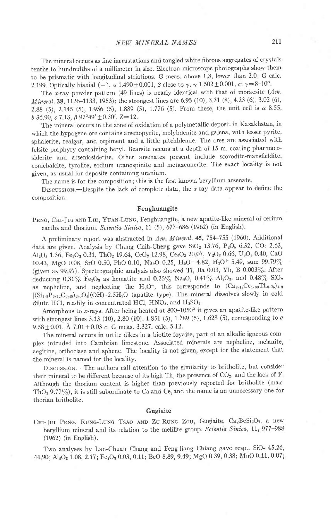The mineral occurs as fine incrustations and tangled white fibrous aggregates oi crystals tenths to hundredths of a millimeter in size. Electron microscope photographs show them to be prismatic with longitudinal striations. G meas. above 1.8, lower than 2.0; G calc. 2.199. Optically biaxial (-),  $\alpha$  1.490  $\pm$ 0.001,  $\beta$  close to  $\gamma$ ,  $\gamma$  1.502  $\pm$ 0.001, c:  $\gamma$ =8-10°.

The x-ray powder pattern (49 lines) is nearly identical with that of moraesite  $(Am,$ Mineral. 38, 1126-1133, 1953); the strongest lines are 6.95 (10), 3.31 (8), 4.23 (6), 3.02 (6), 2.88 (5), 2.145 (5), 1.956 (5), 1.889 (5), 1.776 (5). From these, the unit cell is  $\alpha$  8.55, *b* 36.90,  $\epsilon$  7.13,  $\beta$  97°49′  $\pm$ 0.30′, Z=12

The mineral occurs in the zone of oxidation of a polymetallic deposit in Kazakhstan, in which the hypogene ore contains arsenopyrite, molybdenite and galena, with lesser pyrite, sphalerite, realgar, and orpiment and a little pitchblende. The ores are associated with felsite porphyry containing beryl. Bearsite occurs at a depth of 15 m. coating pharmacosiderite and arseniosiderite. Other arsenates present include scorodite-mansfieldite, conichalcite, tyrolite, sodium uranospinite and metazeunerite. The exact locality is not given, as usual for deposits containing uranium.

The name is for the composition; this is the first known beryliium arsenate.

DISCUSSION.---Despite the lack of complete data, the  $x$ -ray data appear to define the composition.

### Fenghuangite

PENG, CHI-JUI AND LIU, YUAN-LUNG, Fenghuangite, a new apatite-like mineral of cerium earths and thorium. Scientia Sinica, 11 (5), 677-686 (1962) (in English).

A preliminary report was abstracted in Am. Mineral.  $45,754-755$  (1960). Additional data are given. Analysis by Chung Chih-Cheng gave  $SiO<sub>2</sub> 13.76$ ,  $P<sub>2</sub>O<sub>5</sub> 6.32$ ,  $CO<sub>2</sub> 2.62$ , Al<sub>2</sub>O<sub>3</sub> 1.36, Fe<sub>2</sub>O<sub>3</sub> 0.31, ThO<sub>2</sub> 19.64, CeO<sub>2</sub> 12.98, Ce<sub>2</sub>O<sub>3</sub> 20.07, Y<sub>2</sub>O<sub>3</sub> 0.66, U<sub>3</sub>O<sub>8</sub> 0.40, CaO 10.43, MgO 0.08, SrO 0.50, PbO 0.10, Na<sub>2</sub>O 0.25, H<sub>2</sub>O<sup>-</sup> 4.82, H<sub>2</sub>O<sup>+</sup> 5.49, sum 99.79% (given as 99.97). Spectrographic analysis also showed Ti, Ba 0.03, Yb, B 0.003%. After deducting 0.31% Fe<sub>2</sub>O<sub>3</sub> as hematite and 0.25% Na<sub>2</sub>O, 0.41% Al<sub>2</sub>O<sub>3</sub>, and 0.48% SiO<sub>2</sub> as nepheline, and neglecting the  $H_2O^-$ , this corresponds to  $(Ca_{2*15}Ce_{1*80}Th_0.75)_{4*8}$  $[(Si<sub>1.8</sub>P<sub>0.72</sub>C<sub>0.48</sub>)<sub>3.0</sub>O<sub>4</sub>](OH) \cdot 2.5H<sub>2</sub>O$  (apatite type). The mineral dissolves slowly in cold dilute HCl, readily in concentrated HCl,  $HNO<sub>3</sub>$ , and  $H<sub>2</sub>SO<sub>4</sub>$ .

Amorphous to x-rays. After being heated at  $800-1050^\circ$  it gives an apatite-like pattern with strongest lines 3.13 (10), 2.80 (10), 1.851 (5), 1.789 (5), 1.628 (5), corresponding to  $a$  $9.58 \pm 0.01$ , Å  $7.01 \pm 0.03$  c. G meas. 3.327, calc. 5.12.

The mineral occurs in urtite dikes in a biotite foyaite, part of an alkalic igneous complex intruded into cambrian limestone. Associated minerals are nepheline, melanite, aegirine, orthoclase and sphene. The locality is not given, except for the statement that the mineral is named for the locality.

DrscussroN.-The authors call attention to the similarity to britholite, but consider their mineral to be different because of its high Th, the presence of  $CO<sub>2</sub>$ , and the lack of F. Although the thorium content is higher than previously reported for britholite (max. ThO<sub>2</sub> 9.77%), it is still subordinate to Ca and Ce, and the name is an unnecessary one for thorian britholite.

## Gugiaite

CHI-JUI PENG, RUNG-LUNG TSAO AND ZU-RUNG ZOU, Gugiaite, Ca2BeSi2O7, a new beryllium mineral and its relation to the melilite group. Scientia Sinica, 11, 977-988 (1962) (in English).

Two analyses by Lan-Chuan Chang and Feng-liang Chiang gave resp.,  $SiO<sub>2</sub>$  45.26, 44.90; Al<sub>2</sub>O<sub>3</sub> 1.08, 2.17; Fe<sub>2</sub>O<sub>3</sub> 0.03, 0.11; BeO 8.89, 9.49; MgO 0.39, 0.38; MnO 0.11, 0.07;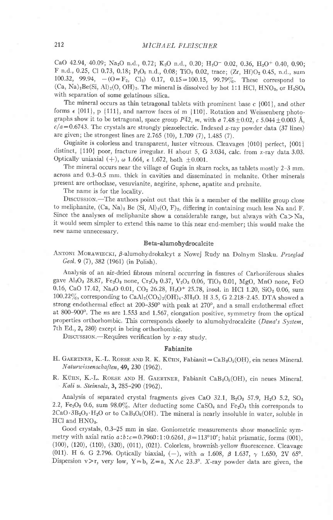CaO 42.94, 40.09; Na<sub>2</sub>O n.d., 0.72; K<sub>2</sub>O n.d., 0.20; H<sub>2</sub>O<sup>-</sup> 0.02, 0.36, H<sub>2</sub>O<sup>+</sup> 0.40, 0.90; F n.d., 0.25, Cl 0.73, 0.18; P<sub>2</sub>O<sub>5</sub> n.d., 0.08; TiO<sub>2</sub> 0.02, trace; (Zr, Hf)O<sub>2</sub> 0.45, n.d., sum 100.32, 99.94,  $-(O=F_2, Cl_2)$  0.17, 0.15=100.15, 99.79%. These correspond to  $(Ca, Na)_2Be(Si, Al)_2(O, OH)_7$ . The mineral is dissolved by hot 1:1 HCl, HNO<sub>3</sub>, or H<sub>2</sub>SO<sub>4</sub> with separation of some gelatinous silica.

The mineral occurs as thin tetragonal tablets with prominent base c {001}, and other forms  $\epsilon$  {011}, p {111}, and narrow faces of m {110}. Rotation and Weissenberg photographs show it to be tetragonal, space group  $P\overline{42}$ , m, with a 7.48  $\pm$  0.02, c 5.044  $\pm$  0.003 Å,  $c/a=0.6743$ . The crystals are strongly piezoelectric. Indexed x-ray powder data (37 lines) are given; the strongest lines are 2.765 (10), 1.709 (7), 1.485 (7).

Gugiaite is colorless and transparent, luster vitreous. Cleavages [010] perfect, {001} distinct,  $\{110\}$  poor, fracture irregular. H about 5, G 3.034, calc. from x-ray data 3.03. Optically uniaxial  $(+)$ ,  $\omega$  1.664,  $\epsilon$  1.672, both  $\pm 0.001$ .

The mineral occurs near the village of Gugia in skarn rocks, as tablets mostly 2-3 mm. across and 0.3-0.5 mm. thick in cavities and disseminated in melanite. Other minerals present are orthoclase, vesuvianite, aegirine, sphene, apatite and prehnite.

The name is for the locality.

DISCUSSION.-The authors point out that this is a member of the melilite group close to meliphanite,  $(Ca, Na)_2$  Be  $(Si, Al)_2(O, F)_2$ , differing in containing much less Na and F. Since the analyses of meliphanite show a considerable range, but always with  $Ca > Na$ , it would seem simpler to extend this name to this near end-member; this would make the new name unnecessary.

## Beta-alumohydrocalcite

ANTONI MORAWIECKI, B-alumohydrokalcyt z Nowej Rudy na Dolnym Slasku. Przeglad Geol. 9 (7), 382 (1961) (in Polish).

Analysis of an air-dried fibrous minerai occurring in fissures of Carboniferous shales gave Al<sub>2</sub>O<sub>3</sub> 28.87, Fe<sub>2</sub>O<sub>3</sub> none, Cr<sub>2</sub>O<sub>3</sub> 0.37, V<sub>2</sub>O<sub>3</sub> 0.06, TiO<sub>2</sub> 0.01, MgO, MnO none, FeO 0.16, CaO 17.42, Na<sub>2</sub>O 0.01, CO<sub>2</sub> 26.28, H<sub>2</sub>O<sup>+</sup> 25.78, insol. in HCl 1.20, SiO<sub>2</sub> 0.06, sum  $100.22\%$ , corresponding to  $CaAl_2(CO_3)_2(OH)_4 \cdot 3H_2O$ . H 3.5, G 2.218-2.45. DTA showed a strong endothermal effect at 200-350° with peak at 270°, and a small endothermal effect at 800-900°. The ns are 1.553 and 1.567, elongation positive, symmetry from the optical properties orthorhombic. This corresponds closely to alumohydrocalcite (Dana's System, 7th Ed.,2, 280) except in being orthorhombic.

DISCUSSION.--Requires verification by  $x$ -ray study.

## Fabianite

- H. GAERTNER, K.-L. ROESE AND R. K. KÜHN, Fabianit= $CaB<sub>3</sub>O<sub>5</sub>(OH)$ , ein neues Mineral.  $N$ aturwissenschaften, 49, 230 (1962).
- R. KÜHN, K.-L. ROESE AND H. GAERTNER, Fabianit CaB<sub>3</sub>O<sub>5</sub>(OH), ein neues Mineral. Kali u. Steinsalz, 3, 285-290 (1962).

Analysis of separated crystal fragments gives CaO 32.1,  $B_2O_3$  57.9,  $H_2O$  5.2,  $SO_3$ 2.2,  $Fe<sub>2</sub>O<sub>3</sub>$  0.6, sum 98.0%. After deducting some CaSO<sub>4</sub> and  $Fe<sub>2</sub>O<sub>3</sub>$  this corresponds to  $2CaO·3B<sub>2</sub>O<sub>3</sub>·H<sub>2</sub>O$  or to  $CaB<sub>3</sub>O<sub>6</sub>(OH)$ . The mineral is nearly insoluble in water, soluble in  $HCl$  and  $HNO<sub>3</sub>$ .

Good crystals, 0.3-25 mm in size. Goniometric measurements show monoclinic symmetry with axial ratio  $a:b:c=0.7960:1:0.6261$ ,  $\beta=113^{\circ}10'$ ; habit prismatic, forms (001), (100), (120), (110), (320), (011), (021). Colorless, brownish-yellow fluorescence. Cleavage (011). H 6. G 2.796. Optically biaxial, (-), with  $\alpha$  1.608,  $\beta$  1.637,  $\gamma$  1.650, 2V 65°. Dispersion v>r, very low, Y=b, Z=a, X $\wedge$ c 23.3°. X-ray powder data are given, the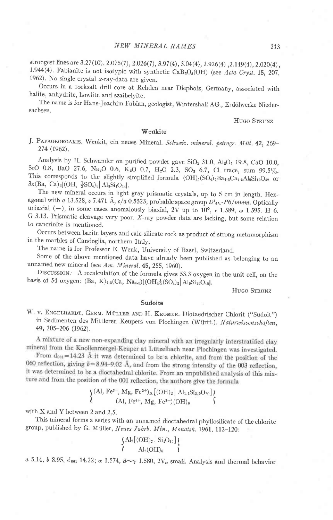strongest lines are 3.27(10), 2.075(7), 2.026(7), 3.97(4), 3.04(4), 2.926(4), 2.149(4), 2.020(4), 1.944(4). Fabianite is not isotypic with synthetic  $CaB_3O_6(OH)$  (see Acta Cryst. 15, 207, 1962). No single crystal x-ray-data are given.

Occurs in a rocksalt drill core at Rehden near Diepholz, Germany, associated with halite, anhydrite, howlite and szaibelyite.

The name is for Hans-Joachim Fabian, geologist, Wintershall AG., Erdölwerke Niedersachsen.

### HUGO STRUNZ

# 'Wenkite

J. PAPAGEORGAKIS. Wenkit, ein neues Mineral. Schweiz. mineral. petrogr. Mitt. 42, 269-274 (1962).

Analysis by H. Schwander on purified powder gave  $SiO<sub>2</sub> 31.0$ ,  $Al<sub>2</sub>O<sub>3</sub> 19.8$ , CaO 10.0, SrO 0.8, BaO 27.6, Na<sub>2</sub>O 0.6, K<sub>2</sub>O 0.7, H<sub>2</sub>O 2.3, SO<sub>3</sub> 6.7, Cl trace, sum 99.5%. This corresponds to the slightly simplified formula  $(OH)_5(SO_4)_2Ba_{4.5}Ca_{4.5}Al_9Si_12O_{42}$  or  $3x(Ba, Ca)_{3}[(OH, \frac{1}{2}SO_4)_{3}]$  Al<sub>3</sub>Si<sub>4</sub>O<sub>14</sub>].

The new mineral occurs in light gray prismatic crystals, up to 5 cm in length. Hex\_ agonal with a 13.528, c 7.471 Å,  $c/a$  0.5523, probable space group  $D<sup>1</sup>_{6h}P6/mmm$ . Optically uniaxial (-), in some cases anomalously biaxial, 2V up to 10°,  $\epsilon$  1.589,  $\omega$  1.595. H 6. G 3.13. Prismatic cleavage very poor. x-ray powder data are lacking, but some relation to cancrinite is mentioned.

occurs between barite layers and calc-silicate rock as product of strong metamorphism in the marbles of Candoglia, northern Italy.

The name is for Professor E. Wenk, University of Basel, Switzerland.

Some of the above mentioned data have already been published as belonging to an unnamed new mineral (see Am. Mineral. 45, 255, 1960).

DISCUSSION.--A recalculation of the formula gives 53.3 oxygen in the unit cell, on the basis of 54 oxygen: (Ba, K)<sub>4</sub>,<sub>5</sub>(Ca, Na<sub>4,5</sub>)[(OH<sub>4</sub><sup>1</sup><sub>2</sub>(SO<sub>4</sub>)<sub>2</sub>| Al<sub>9</sub>Si<sub>12</sub>O<sub>42</sub>].

#### HUGO STRUNZ

## Sudoite

W. V. ENGELHARDT, GERM. MÜLLER AND H. KROMER. Diotaedrischer Chlorit ("Sudoit") in Sedimenten des Mittleren Keupers von Plochingen (Württ.). Naturwissenschaften, 49, 205-206 (1962).

A mixture of a new non-expanding clay mineral with an irregularly interstratified clay mineral from the Knollenmergel-Keuper at Lützelbach near Plochingen was investigated.

From  $d_{001} = 14.23$  Å it was determined to be a chlorite, and from the position of the 060 reflection, giving  $b = 8.94 - 9.02$  Å, and from the strong intensity of the 003 reflection, it was determined to be a dioctahedral chlorite. From an unpublished analysis of this mixture and from the position of the 001 reflection, the authors give the formula

$$
\left\{\begin{matrix}(\text{Al, Fe}^{3+},\, \text{Mg, Fe}^{2+})_{\text{X}}[(\text{OH})_{2}\,|\,\, \text{Al}_{1.1}\text{Si}_{2.9}\text{O}_{10}]\,\\(\text{Al, Fe}^{3+},\, \text{Mg, Fe}^{2+})(\text{OH})_{6}\end{matrix}\right\}
$$

with X and Y between 2 and 2 5.

This mineral forrns a series with an unnamed dioctahedral phyllosilicate of the chlorite group, published by G. Müller, Neues Jahrb. Min., Monatsh. 1961, 112-120:

$$
\left\{\!\!\! \begin{array}{c} \rm{Al_2}\rm [(OH)_2\,|\,Si_4O_{10}\rm ] \\ \rm{Al_2(OH)_6} \end{array}\!\!\!\!\right\}
$$

a 5.14, b 8.95,  $d_{001}$  14.22;  $\alpha$  1.574,  $\beta \sim \gamma$  1.580, 2V $_{\alpha}$  small. Analysis and thermal behavior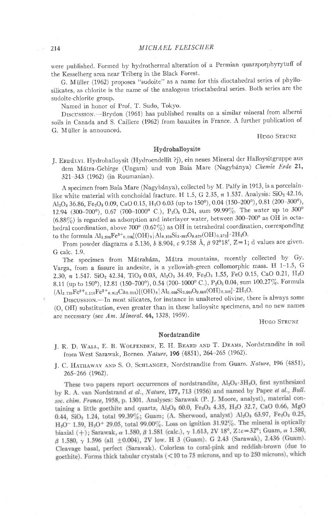were published. Formed by hydrothermal alteration of a Permian quarzporphyrytuff of the Kesselberg area near Triberg in the Black Forest.

G. Miiller (1962) proposes "sudoite" as a name for this dioctahedral series of phyllosilicates, as chlorite is the name of the analogous trioctahedral series. Both series are the sudoite-chlorite group.

Named in honor of Prof. T. Sudo, Tokyo.

DISCUSSION.--Brydon (1961) has published results on a similar mineral from alberni soils in Canada and S. Caillere (1962) from bauxites in France. A further publication of G. Müller is announced.

HUGO STRUNZ

# Hydrohalloysite

J. Ernétyr. Hydrohalloysit (Hydroendellit ?j), ein neues Mineral der Halloysitgruppe aus dem Mátra-Gebirge (Ungarn) und von Baia Mare (Nagybánya) Chemie Erde 21, 321-343 (1962) (in Roumanian).

A specimen from Baia Mare (Nagybánya), collected by M. Palfy in 1913, is a porcelainlike white material with conchoidal fracture. H 1.5, G 2.35,  $n$  1.537. Analysis: SiO<sub>2</sub> 42.16,  $Al_2O_3$  36.86, Fe<sub>2</sub>O<sub>3</sub> 0.09, CaO 0.15, H<sub>2</sub>O 6.03 (up to 150°), 0.04 (150-200°), 0.81 (200-300°), 12.94 (300-700°), 0.67 (700-1000° C.), P<sub>2</sub>O<sub>5</sub> 0.24, sum 99.99%. The water up to 300°  $(6.88\%)$  is regarded as adsorption and interlayer water, between 300-700° as OH in octahedral coordination, above 700° (0.67%) as OH in tetrahedral coordination, corresponding to the formula  $\text{Al}_{3.904}\text{Fe}^{3+}_{0.006}[\text{(OH)}_{8}]\text{Al}_{0.108}\text{Si}_{3.892}\text{O}_{9.628}(\text{OH})_{0.372}]\cdot2\text{H}_{2}\text{O}.$ 

From powder diagrams  $a$  5.136,  $b$  8.904,  $c$  9.758 Å,  $\beta$  92°18', Z=1; d values are given. G calc. 1.9.

The specimen from Mátraháza, Mátra mountains, recently collected by Gy. Varga, from a fissure in andesite, is a yellowish-green collomorphic mass. H  $1-1.5$ , G 2.30, n 1.547. SiO<sub>2</sub> 42.34, TiO<sub>2</sub> 0.03, Al<sub>2</sub>O<sub>3</sub> 34.49, Fe<sub>2</sub>O<sub>3</sub> 1.55, FeO 0.15, CaO 0.21, H<sub>2</sub>O 8.11 (up to 150°), 12.81 (150-700°), 0.54 (700-1000° C.), P<sub>2</sub>O<sub>5</sub> 0.04, sum 100.27%. Formula  $(Al_{3.770}Fe^{3+_{0.110}Fe^{2+_{0.012}Ca_{0.018}}[(OH)_8|Al_{0.036}Si_{3.964}O_{9.660}(OH)_{0.340}]\cdot 2H_2O.$ 

DISCUSSION.-In most silicates, for instance in unaltered olivine, there is always some (O, OH) substitution, even greater than in these halloysite specimens, and no new names are necessary (see  $Am.$  Mineral. 44, 1328, 1959).

HUGO STRUNZ

#### Nordstrandite

- J. R. D. WALL, E. B. WOLFENDEN, E. H. BEARD AND T. DEAMS, Nordstrandite in soil from West Sarawak, Borneo. Nature, 196 (4851), 264-265 (1962).
- J. C. HATHAWAY AND S. O. SCHLANGER, Nordstrandite from Guam. Nature, 196 (4851), 265-266 (1962).

These two papers report occurrences of nordstrandite,  $Al_2O_8 \cdot 3H_2O$ , first synthesized by R. A. van Nordstrand et al., Nature, 177, 713 (1956) and named by Papee et al., Bull. soc. chim. France, 1958, p. 1301. Analyses: Sarawak (P. J. Moore, analyst), material containing a little goethite and quartz,  $Al_2O_3$  60.0,  $Fe_2O_3$  4.35,  $H_2O$  32.7, CaO 0.66, MgO 0.44, SiO<sub>2</sub> 1.24, total 99.39%; Guam; (A. Sherwood, analyst) Al<sub>2</sub>O<sub>3</sub> 63.97, Fe<sub>2</sub>O<sub>3</sub> 0.25,  $H_2O^-$  1.59,  $H_2O^+$  29.05, total 99.00%. Loss on ignition 31.92%. The mineral is optically biaxial (+); Sarawak,  $\alpha$  1.580,  $\beta$  1.581 (calc.),  $\gamma$  1.613, 2V 18°, Z: $c=32^{\circ}$ ; Guam,  $\alpha$  1.580,  $\beta$  1.580,  $\gamma$  1.596 (all  $\pm$ 0.004), 2V low. H 3 (Guam). G 2.43 (Sarawak), 2.436 (Guam). Cleavage basal, perfect (Sarawak). Colorless to coral-pink and reddish-brown (due to goethite). Forms thick tabular crystals (<10 to 75 microns, and up to 250 microns), which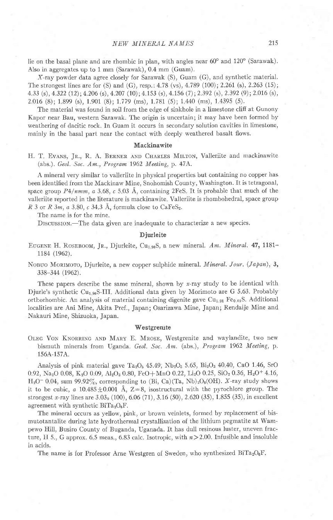lie on the basal plane and are rhombic in plan, with angles near  $60^{\circ}$  and  $120^{\circ}$  (Sarawak). Also in aggregates up to 1 mm (Sarawak), 0.4 mm (Guam).

X-ray powder data agree closely for Sarawak (S), Guam (G), and synthetic material. The strongest lines are for (S) and (G), resp.:  $4.78$  (vs),  $4.789$  (100);  $2.261$  (s),  $2.263$  (15); 4.33 (s), 4.322 (12); 4.206 (s), 4.207 (10); 4.153 (s), 4.156 (7); 2.392 (s), 2.392 (9); 2.016 (s), 2.016 (8);1899 (s),1.901 (8);1.779 (ms),1781 (5);1440 (ms),1.4395 (5).

The material was found in soil from the edge of sinkhole in a limestone cliff at Gunony Kapor near Bau, western Sarawak. The origin is uncertain; it may have been formed by weathering of dacitic rock. In Guam it occurs in secondary solution cavities in limestone, mainly in the basal part near the contact with deeply weathered basalt flows.

## Mackinawite

H. T. Evans, Jr., R. A. BERNER AND CHARLES MILTON, Valleriite and mackinawite (abs.). Geol. Soc. Am., Program 1962 Meeting, p.47A.

A mineral very similar to valleriite in physical properties but containing no copper has been identified from the Mackinaw Mine, Snohomish County, Washington. It is tetragonal, space group  $P4/nmm$ , a 3.68, c 5.03 Å, containing 2FeS. It is probable that much of the valleriite reported in the literature is mackinawite Valleriite is rhombohedral, space group R 3 or R 3m, a 3.80, c 34.3 Å, formula close to CaFeS<sub>2</sub>.

The name is for the mine.

DISCUSSION.-The data given are inadequate to characterize a new species.

## Djurleite

EUGENE H. ROSEBOOM, Jr., Djurleite, Cu<sub>1.96</sub>S, a new mineral. Am. Mineral. 47, 1181 1184 (1962).

NOBUO MORIMOTO, Djurleite, a new copper sulphide mineral. *Mineral. Jour.* (*Japan*),  $3$ , 338-3M (1962).

These papers describe the same mineral, shown by x-ray study to be identical with Djurle's synthetic Cu<sub>1.96</sub>S-III. Additional data given by Morimoto are G 5.63. Probably orthorhombic. An analysis of material containing digenite gave Cu<sub>1.91</sub> Fe<sub>0.01</sub>S. Additional localities are Ani Mine, Akita Pref., Japan; Osarizawa Mine, Japan; Rendaije Mine and Nakauri Mine, Shizuoka, Japan.

#### **Westgrenite**

OLEG VON KNORRING AND MARY E. MROSE, Westgrenite and waylandite, two new bismuth minerals from Uganda. Geol. Soc. Am. (abs.), Program 1962 Meeting, p. 156A-157A.

Analysis of pink material gave Ta<sub>2</sub>O<sub>5</sub> 45.49; Nb<sub>2</sub>O<sub>5</sub> 5.65, Bi<sub>2</sub>O<sub>3</sub> 40.40, CaO 1.46, SrO 0.92, Na<sub>2</sub>O 0.08, K<sub>2</sub>O 0.09, Al<sub>2</sub>O<sub>3</sub> 0.80, FeO+MnO 0.22, Li<sub>2</sub>O 0.25, SiO<sub>2</sub> 0.36, H<sub>2</sub>O<sup>+</sup> 4.16,  $H_2O^-$  0.04, sum 99.92 $\%$ , corresponding to (Bi, Ca)(Ta, Nb)<sub>2</sub>O<sub>6</sub>(OH). X-ray study shows it to be cubic,  $a \ 10.485 \pm 0.001$  Å, Z=8, isostructural with the pyrochlore group. The strongest x-ray lines are  $3.03<sub>0</sub>$  (100), 6.06 (71), 3.16 (50), 2.620 (35), 1.855 (35), in excellent agreement with synthetic  $BiTa_2O_6F$ .

The mineral occurs as yellow, pink, or brown veinlets, formed by replacement of bismutotantaiite during late hydrothermal crystallization of the lithium pegmatite at Wampewo Hill, Busiro County of Buganda, Uganada. It has dull resinous luster, uneven fracture, H 5, G approx. 6.5 meas., 6.83 calc. Isotropic, with  $n>2.00$ . Infusible and insoluble in acids.

The name is for Professor Arne Westgren of Sweden, who synthesized BiTa<sub>2</sub>O<sub>6</sub>F.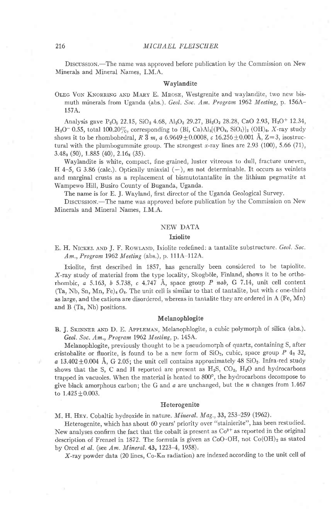DISCUSSION.—The name was approved before publication by the Commission on New Minerals and Mineral Names, I.M.A.

# Waylandite

OLEG VON KNORRING AND MARY E. MROSE, Westgrenite and waylandite, two new bismuth minerals from Uganda (abs.). Geol. Soc. Am. Program 1962 Meeting, p. 156A-157A.

Analysis gave  $P_2O_5$  22.15, SiO<sub>2</sub> 4.68, Al<sub>2</sub>O<sub>3</sub> 29.27, Bi<sub>2</sub>O<sub>3</sub> 28.28, CaO 2.93, H<sub>2</sub>O+ 12.34, H<sub>2</sub>O<sup>-</sup> 0.55, total 100.20%, corresponding to (Bi, Ca)Al<sub>3</sub>[(PO<sub>4</sub>, SiO<sub>4</sub>)]<sub>2</sub> (OH)<sub>6</sub>. X-ray study shows it to be rhombohedral, R  $\overline{3}$  m, a 6.9649  $\pm$ 0.0008, c 16.256  $\pm$ 0.001 Å, Z=3, isostructural with the plumbogummite group. The strongest x-ray lines are  $2.93$  (100),  $5.66$  (71),  $3.48<sub>3</sub>$  (50),  $1.885$  (40),  $2.16<sub>8</sub>$  (35).

Waylandite is white, compact, fine grained, luster vitreous to dull, fracture uneven, H 4-5, G 3.86 (calc.). Optically uniaxial  $(-)$ , ns not determinable. It occurs as veinlets and marginal crusts as a replacement of bismutotantalite in the lithium pegmatite at Wampewo Hill, Busiro County of Buganda, Uganda.

The name is for E. J. Wayland, first director of the Uganda Geological Survey.

DISCUSSION.—The name was approved before publication by the Commission on New Minerals and Mineral Names, I.M A.

# NEW DATA

#### **Ixiolite**

E. H. NICKEL AND J. F. ROWLAND, Ixiolite redefined: a tantalite substructure. Geol. Soc. Am., Program 1962 Meeting (abs.), p. 111A-112A.

Ixiolite, first described in 1857, has generally been considered to be tapiolite. X-ray study of material from the type locality, Skogböle, Finland, shows it to be orthorhombic,  $a$  5.163,  $b$  5.738,  $c$  4.747 Å, space group P nab, G 7.14, unit cell content (Ta, Nb, Sn, Mn, Fe)<sub>4</sub>  $O_8$ . The unit cell is similar to that of tantalite, but with c one-third as large, and the cations are disordered, whereas in tantalite they are ordered in A (Fe, Mn) and B (Ta, Nb) positions.

## Melanophlogite

B. J. SKINNER AND D. E. APPLEMAN, Melanophlogite, a cubic polymorph of silica (abs.). Geol. Soc. Am., Program 1962 Meeling, p. 145A.

Melanophlogite, previously thought to be a pseudomorph of quartz, containing S, after cristobalite or fluorite, is found to be a new form of  $SiO_2$ , cubic, space group P  $4<sub>2</sub>$  32, a  $13.402\pm0.004$  Å, G 2.05; the unit cell contains approximately 48 SiO<sub>2</sub>. Infra-red study shows that the S, C and H reported are present as  $H_2S$ ,  $CO_2$ ,  $H_2O$  and hydrocarbons trapped in vacuoles. When the material is heated to 800°, the hydrocarbons decompose to give black amorphous carbon; the G and  $a$  are unchanged, but the  $n$  changes from 1.467 to  $1.425 \pm 0.003$ .

## Heterogenite

M. H. HEY. Cobaltic hydroxide in nature. *Mineral. Mag.*, 33, 253-259 (1962).

Heterogenite, which has about 60 years' priority over "stainierite", has been restudied. New analyses confirm the fact that the cobalt is present as  $Co<sup>3+</sup>$  as reported in the original description of Frenzel in 1872. The formula is given as  $CoO·OH$ , not  $Co(OH)_2$  as stated by Orcel et al. (see Am. Mineral.  $43, 1223-4, 1958$ ).

X-ray powder data (20 lines,  $Co-K\alpha$  radiation) are indexed according to the unit cell of